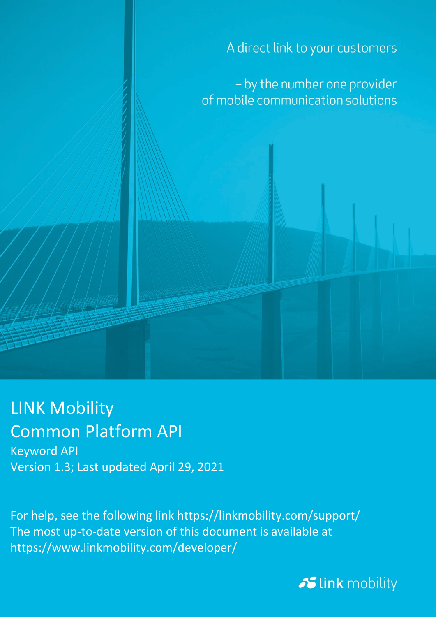A direct link to your customers

- by the number one provider of mobile communication solutions

## LINK Mobility Common Platform API

Keyword API Version 1.3; Last updated April 29, 2021

For help, see the following link https://linkmobility.com/support/ The most up-to-date version of this document is available at https://www.linkmobility.com/developer/

Slink mobility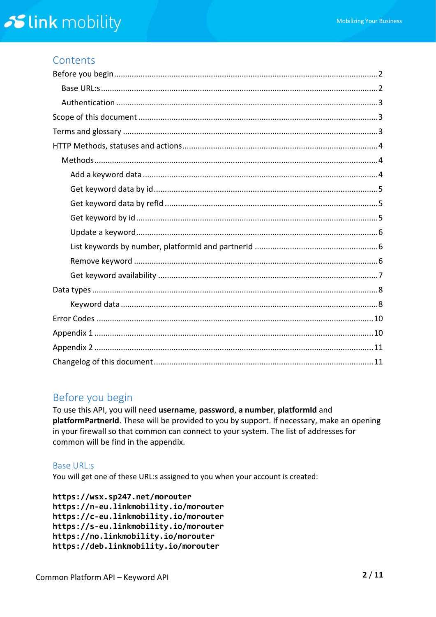### Contents

## <span id="page-1-0"></span>Before you begin

To use this API, you will need username, password, a number, platformId and platformPartnerId. These will be provided to you by support. If necessary, make an opening in your firewall so that common can connect to your system. The list of addresses for common will be find in the appendix.

#### <span id="page-1-1"></span>**Base URL:s**

You will get one of these URL:s assigned to you when your account is created:

https://wsx.sp247.net/morouter https://n-eu.linkmobility.io/morouter https://c-eu.linkmobility.io/morouter https://s-eu.linkmobility.io/morouter https://no.linkmobility.io/morouter https://deb.linkmobility.io/morouter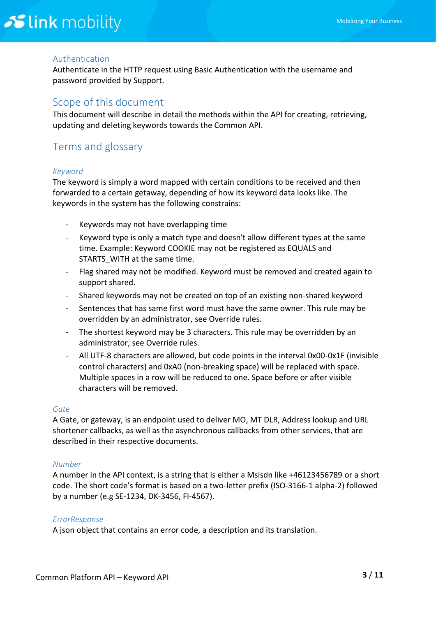#### <span id="page-2-0"></span>Authentication

Authenticate in the HTTP request using Basic Authentication with the username and password provided by Support.

#### <span id="page-2-1"></span>Scope of this document

This document will describe in detail the methods within the API for creating, retrieving, updating and deleting keywords towards the Common API.

### <span id="page-2-2"></span>Terms and glossary

#### *Keyword*

The keyword is simply a word mapped with certain conditions to be received and then forwarded to a certain getaway, depending of how its keyword data looks like. The keywords in the system has the following constrains:

- Keywords may not have overlapping time
- Keyword type is only a match type and doesn't allow different types at the same time. Example: Keyword COOKIE may not be registered as EQUALS and STARTS WITH at the same time.
- Flag shared may not be modified. Keyword must be removed and created again to support shared.
- Shared keywords may not be created on top of an existing non-shared keyword
- Sentences that has same first word must have the same owner. This rule may be overridden by an administrator, see Override rules.
- The shortest keyword may be 3 characters. This rule may be overridden by an administrator, see Override rules.
- All UTF-8 characters are allowed, but code points in the interval 0x00-0x1F (invisible control characters) and 0xA0 (non-breaking space) will be replaced with space. Multiple spaces in a row will be reduced to one. Space before or after visible characters will be removed.

#### *Gate*

A Gate, or gateway, is an endpoint used to deliver MO, MT DLR, Address lookup and URL shortener callbacks, as well as the asynchronous callbacks from other services, that are described in their respective documents.

#### *Number*

A number in the API context, is a string that is either a Msisdn like +46123456789 or a short code. The short code's format is based on a two-letter prefix (ISO-3166-1 alpha-2) followed by a number (e.g SE-1234, DK-3456, FI-4567).

#### *ErrorResponse*

A json object that contains an error code, a description and its translation.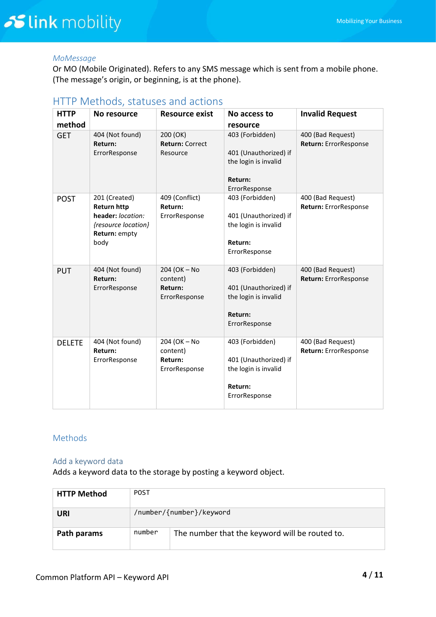#### *MoMessage*

Or MO (Mobile Originated). Refers to any SMS message which is sent from a mobile phone. (The message's origin, or beginning, is at the phone).

| <b>HTTP</b><br>method | No resource                                                                                              | <b>Resource exist</b>                                | No access to<br>resource                                                                     | <b>Invalid Request</b>                     |
|-----------------------|----------------------------------------------------------------------------------------------------------|------------------------------------------------------|----------------------------------------------------------------------------------------------|--------------------------------------------|
| <b>GET</b>            | 404 (Not found)<br>Return:<br>ErrorResponse                                                              | 200 (OK)<br><b>Return: Correct</b><br>Resource       | 403 (Forbidden)<br>401 (Unauthorized) if<br>the login is invalid<br>Return:<br>ErrorResponse | 400 (Bad Request)<br>Return: ErrorResponse |
| <b>POST</b>           | 201 (Created)<br><b>Return http</b><br>header: location:<br>{resource location}<br>Return: empty<br>body | 409 (Conflict)<br>Return:<br>ErrorResponse           | 403 (Forbidden)<br>401 (Unauthorized) if<br>the login is invalid<br>Return:<br>ErrorResponse | 400 (Bad Request)<br>Return: ErrorResponse |
| PUT                   | 404 (Not found)<br>Return:<br>ErrorResponse                                                              | 204 (OK - No<br>content)<br>Return:<br>ErrorResponse | 403 (Forbidden)<br>401 (Unauthorized) if<br>the login is invalid<br>Return:<br>ErrorResponse | 400 (Bad Request)<br>Return: ErrorResponse |
| <b>DELETE</b>         | 404 (Not found)<br>Return:<br>ErrorResponse                                                              | 204 (OK - No<br>content)<br>Return:<br>ErrorResponse | 403 (Forbidden)<br>401 (Unauthorized) if<br>the login is invalid<br>Return:<br>ErrorResponse | 400 (Bad Request)<br>Return: ErrorResponse |

#### <span id="page-3-0"></span>HTTP Methods, statuses and actions

#### <span id="page-3-1"></span>Methods

#### <span id="page-3-2"></span>Add a keyword data

Adds a keyword data to the storage by posting a keyword object.

| <b>HTTP Method</b> | <b>POST</b>              |                                                |
|--------------------|--------------------------|------------------------------------------------|
| URI                | /number/{number}/keyword |                                                |
| Path params        | number                   | The number that the keyword will be routed to. |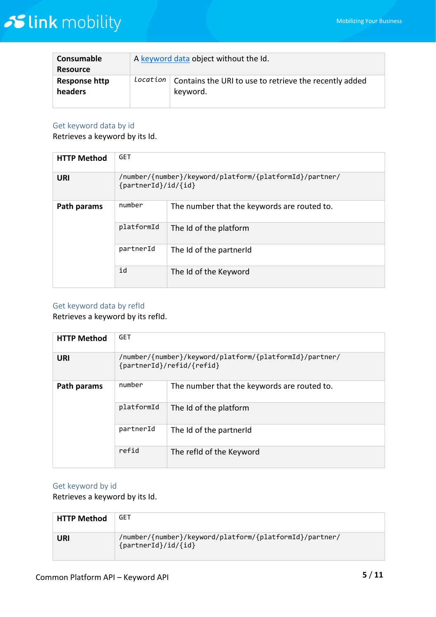| Consumable<br><b>Resource</b> | A keyword data object without the Id. |                                                                    |
|-------------------------------|---------------------------------------|--------------------------------------------------------------------|
| Response http<br>headers      | location                              | Contains the URI to use to retrieve the recently added<br>keyword. |

#### <span id="page-4-0"></span>Get keyword data by id

Retrieves a keyword by its Id.

| <b>HTTP Method</b> | <b>GET</b>                                                                     |                                             |  |
|--------------------|--------------------------------------------------------------------------------|---------------------------------------------|--|
| <b>URI</b>         | /number/{number}/keyword/platform/{platformId}/partner/<br>{partnerId}/id/{id} |                                             |  |
| Path params        | number                                                                         | The number that the keywords are routed to. |  |
|                    | platformId                                                                     | The Id of the platform                      |  |
|                    | partnerId                                                                      | The Id of the partnerId                     |  |
|                    | id                                                                             | The Id of the Keyword                       |  |

#### <span id="page-4-1"></span>Get keyword data by refId

Retrieves a keyword by its refId.

| <b>HTTP Method</b> | <b>GET</b>                                                                           |                                             |  |
|--------------------|--------------------------------------------------------------------------------------|---------------------------------------------|--|
| URI                | /number/{number}/keyword/platform/{platformId}/partner/<br>{partnerId}/refid/{refid} |                                             |  |
| Path params        | number                                                                               | The number that the keywords are routed to. |  |
|                    | platformId                                                                           | The Id of the platform                      |  |
|                    | partnerId                                                                            | The Id of the partnerId                     |  |
|                    | refid                                                                                | The refid of the Keyword                    |  |

#### <span id="page-4-2"></span>Get keyword by id

Retrieves a keyword by its Id.

| <b>HTTP Method</b> | GET                                                                            |
|--------------------|--------------------------------------------------------------------------------|
| <b>URI</b>         | /number/{number}/keyword/platform/{platformId}/partner/<br>${partnerId}/id/id$ |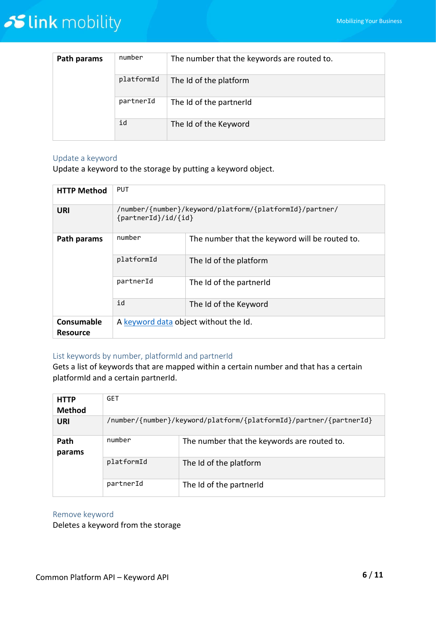| Path params | number     | The number that the keywords are routed to. |
|-------------|------------|---------------------------------------------|
|             | platformId | The Id of the platform                      |
|             | partnerId  | The Id of the partnerId                     |
|             | id         | The Id of the Keyword                       |

#### <span id="page-5-0"></span>Update a keyword

Update a keyword to the storage by putting a keyword object.

| <b>HTTP Method</b>            | <b>PUT</b>                                                                     |                                                |  |
|-------------------------------|--------------------------------------------------------------------------------|------------------------------------------------|--|
| URI                           | /number/{number}/keyword/platform/{platformId}/partner/<br>{partnerId}/id/{id} |                                                |  |
| Path params                   | number                                                                         | The number that the keyword will be routed to. |  |
|                               | platformId                                                                     | The Id of the platform                         |  |
|                               | partnerId                                                                      | The Id of the partnerId                        |  |
|                               | id                                                                             | The Id of the Keyword                          |  |
| Consumable<br><b>Resource</b> | A keyword data object without the Id.                                          |                                                |  |

#### <span id="page-5-1"></span>List keywords by number, platformId and partnerId

Gets a list of keywords that are mapped within a certain number and that has a certain platformId and a certain partnerId.

| <b>HTTP</b>    | <b>GET</b>                                                         |                                             |  |
|----------------|--------------------------------------------------------------------|---------------------------------------------|--|
| <b>Method</b>  |                                                                    |                                             |  |
| URI            | /number/{number}/keyword/platform/{platformId}/partner/{partnerId} |                                             |  |
| Path<br>params | number                                                             | The number that the keywords are routed to. |  |
|                | platformId                                                         | The Id of the platform                      |  |
|                | partnerId                                                          | The Id of the partnerId                     |  |

#### <span id="page-5-2"></span>Remove keyword

Deletes a keyword from the storage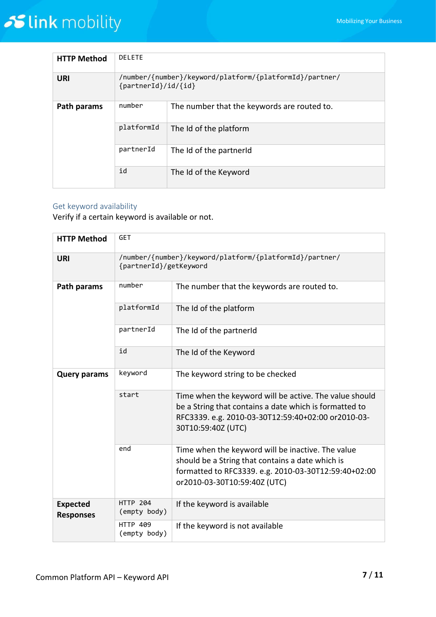| <b>HTTP Method</b> | <b>DELETE</b>                                                                  |                                             |  |
|--------------------|--------------------------------------------------------------------------------|---------------------------------------------|--|
| <b>URI</b>         | /number/{number}/keyword/platform/{platformId}/partner/<br>{partnerId}/id/{id} |                                             |  |
| Path params        | number                                                                         | The number that the keywords are routed to. |  |
|                    | platformId                                                                     | The Id of the platform                      |  |
|                    | partnerId                                                                      | The Id of the partnerId                     |  |
|                    | id                                                                             | The Id of the Keyword                       |  |

#### <span id="page-6-0"></span>Get keyword availability

Verify if a certain keyword is available or not.

| <b>HTTP Method</b>                  | <b>GET</b>                                                                        |                                                                                                                                                                                               |  |
|-------------------------------------|-----------------------------------------------------------------------------------|-----------------------------------------------------------------------------------------------------------------------------------------------------------------------------------------------|--|
| <b>URI</b>                          | /number/{number}/keyword/platform/{platformId}/partner/<br>{partnerId}/getKeyword |                                                                                                                                                                                               |  |
| Path params                         | number                                                                            | The number that the keywords are routed to.                                                                                                                                                   |  |
|                                     | platformId                                                                        | The Id of the platform                                                                                                                                                                        |  |
|                                     | partnerId                                                                         | The Id of the partnerId                                                                                                                                                                       |  |
|                                     | id                                                                                | The Id of the Keyword                                                                                                                                                                         |  |
| <b>Query params</b>                 | keyword                                                                           | The keyword string to be checked                                                                                                                                                              |  |
|                                     | start                                                                             | Time when the keyword will be active. The value should<br>be a String that contains a date which is formatted to<br>RFC3339. e.g. 2010-03-30T12:59:40+02:00 or2010-03-<br>30T10:59:40Z (UTC)  |  |
|                                     | end                                                                               | Time when the keyword will be inactive. The value<br>should be a String that contains a date which is<br>formatted to RFC3339. e.g. 2010-03-30T12:59:40+02:00<br>or2010-03-30T10:59:40Z (UTC) |  |
| <b>Expected</b><br><b>Responses</b> | <b>HTTP 204</b><br>(empty body)                                                   | If the keyword is available                                                                                                                                                                   |  |
|                                     | <b>HTTP 409</b><br>(empty body)                                                   | If the keyword is not available                                                                                                                                                               |  |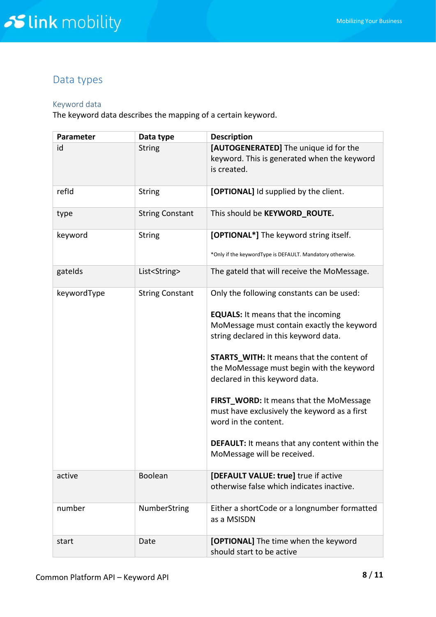## <span id="page-7-0"></span>Data types

#### <span id="page-7-1"></span>Keyword data

The keyword data describes the mapping of a certain keyword.

| Parameter   | Data type              | <b>Description</b>                                                                                                              |  |  |
|-------------|------------------------|---------------------------------------------------------------------------------------------------------------------------------|--|--|
| id          | <b>String</b>          | [AUTOGENERATED] The unique id for the<br>keyword. This is generated when the keyword<br>is created.                             |  |  |
| refid       | <b>String</b>          | [OPTIONAL] Id supplied by the client.                                                                                           |  |  |
| type        | <b>String Constant</b> | This should be KEYWORD_ROUTE.                                                                                                   |  |  |
| keyword     | <b>String</b>          | [OPTIONAL*] The keyword string itself.                                                                                          |  |  |
|             |                        | *Only if the keywordType is DEFAULT. Mandatory otherwise.                                                                       |  |  |
| gatelds     | List <string></string> | The gateld that will receive the MoMessage.                                                                                     |  |  |
| keywordType | <b>String Constant</b> | Only the following constants can be used:                                                                                       |  |  |
|             |                        | <b>EQUALS:</b> It means that the incoming                                                                                       |  |  |
|             |                        | MoMessage must contain exactly the keyword<br>string declared in this keyword data.                                             |  |  |
|             |                        | <b>STARTS_WITH: It means that the content of</b><br>the MoMessage must begin with the keyword<br>declared in this keyword data. |  |  |
|             |                        | FIRST_WORD: It means that the MoMessage<br>must have exclusively the keyword as a first<br>word in the content.                 |  |  |
|             |                        | <b>DEFAULT:</b> It means that any content within the<br>MoMessage will be received.                                             |  |  |
| active      | <b>Boolean</b>         | [DEFAULT VALUE: true] true if active<br>otherwise false which indicates inactive.                                               |  |  |
| number      | NumberString           | Either a shortCode or a longnumber formatted<br>as a MSISDN                                                                     |  |  |
| start       | Date                   | [OPTIONAL] The time when the keyword<br>should start to be active                                                               |  |  |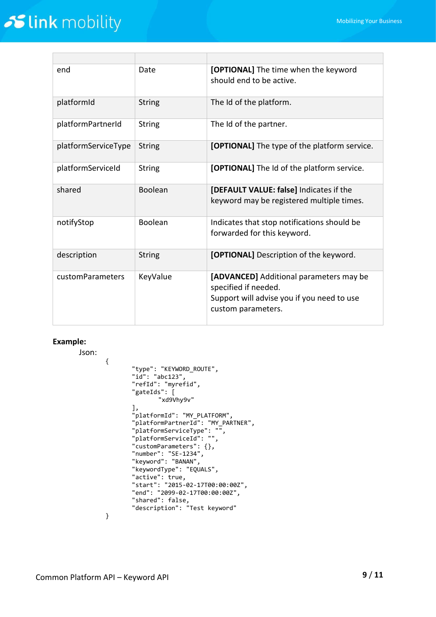| end                 | Date           | [OPTIONAL] The time when the keyword<br>should end to be active.                                                                    |  |  |
|---------------------|----------------|-------------------------------------------------------------------------------------------------------------------------------------|--|--|
| platformId          | <b>String</b>  | The Id of the platform.                                                                                                             |  |  |
| platformPartnerId   | <b>String</b>  | The Id of the partner.                                                                                                              |  |  |
| platformServiceType | <b>String</b>  | [OPTIONAL] The type of the platform service.                                                                                        |  |  |
| platformServiceId   | <b>String</b>  | [OPTIONAL] The Id of the platform service.                                                                                          |  |  |
| shared              | <b>Boolean</b> | [DEFAULT VALUE: false] Indicates if the<br>keyword may be registered multiple times.                                                |  |  |
| notifyStop          | <b>Boolean</b> | Indicates that stop notifications should be<br>forwarded for this keyword.                                                          |  |  |
| description         | <b>String</b>  | [OPTIONAL] Description of the keyword.                                                                                              |  |  |
| customParameters    | KeyValue       | [ADVANCED] Additional parameters may be<br>specified if needed.<br>Support will advise you if you need to use<br>custom parameters. |  |  |

#### **Example:**

Json: { "type": "KEYWORD\_ROUTE", "id": "abc123", "refId": "myrefid", "gateIds": [ "xd9Vhy9v" ], "platformId": "MY\_PLATFORM", "platformPartnerId": "MY\_PARTNER", "platformServiceType": "", "platformServiceId": "", "customParameters": {}, "number": "SE-1234", "keyword": "BANAN", "keywordType": "EQUALS", "active": true, "start": "2015-02-17T00:00:00Z", "end": "2099-02-17T00:00:00Z", "shared": false, "description": "Test keyword" }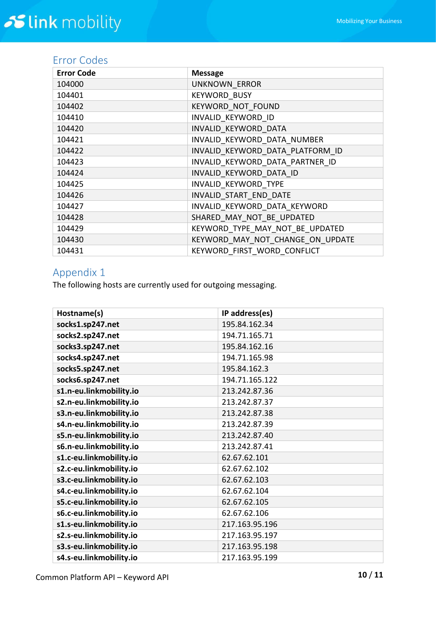## <span id="page-9-0"></span>Error Codes

| <b>Error Code</b> | <b>Message</b>                   |
|-------------------|----------------------------------|
| 104000            | <b>UNKNOWN ERROR</b>             |
| 104401            | <b>KEYWORD BUSY</b>              |
| 104402            | KEYWORD NOT FOUND                |
| 104410            | INVALID KEYWORD ID               |
| 104420            | INVALID KEYWORD DATA             |
| 104421            | INVALID KEYWORD DATA NUMBER      |
| 104422            | INVALID KEYWORD DATA PLATFORM ID |
| 104423            | INVALID KEYWORD DATA PARTNER ID  |
| 104424            | INVALID KEYWORD DATA ID          |
| 104425            | INVALID KEYWORD TYPE             |
| 104426            | INVALID START END DATE           |
| 104427            | INVALID KEYWORD DATA KEYWORD     |
| 104428            | SHARED_MAY_NOT_BE_UPDATED        |
| 104429            | KEYWORD TYPE MAY NOT BE UPDATED  |
| 104430            | KEYWORD MAY NOT CHANGE ON UPDATE |
| 104431            | KEYWORD FIRST WORD CONFLICT      |

## <span id="page-9-1"></span>Appendix 1

The following hosts are currently used for outgoing messaging.

| Hostname(s)             | IP address(es) |  |  |
|-------------------------|----------------|--|--|
| socks1.sp247.net        | 195.84.162.34  |  |  |
| socks2.sp247.net        | 194.71.165.71  |  |  |
| socks3.sp247.net        | 195.84.162.16  |  |  |
| socks4.sp247.net        | 194.71.165.98  |  |  |
| socks5.sp247.net        | 195.84.162.3   |  |  |
| socks6.sp247.net        | 194.71.165.122 |  |  |
| s1.n-eu.linkmobility.io | 213.242.87.36  |  |  |
| s2.n-eu.linkmobility.io | 213.242.87.37  |  |  |
| s3.n-eu.linkmobility.io | 213.242.87.38  |  |  |
| s4.n-eu.linkmobility.io | 213.242.87.39  |  |  |
| s5.n-eu.linkmobility.io | 213.242.87.40  |  |  |
| s6.n-eu.linkmobility.io | 213.242.87.41  |  |  |
| s1.c-eu.linkmobility.io | 62.67.62.101   |  |  |
| s2.c-eu.linkmobility.io | 62.67.62.102   |  |  |
| s3.c-eu.linkmobility.io | 62.67.62.103   |  |  |
| s4.c-eu.linkmobility.io | 62.67.62.104   |  |  |
| s5.c-eu.linkmobility.io | 62.67.62.105   |  |  |
| s6.c-eu.linkmobility.io | 62.67.62.106   |  |  |
| s1.s-eu.linkmobility.io | 217.163.95.196 |  |  |
| s2.s-eu.linkmobility.io | 217.163.95.197 |  |  |
| s3.s-eu.linkmobility.io | 217.163.95.198 |  |  |
| s4.s-eu.linkmobility.io | 217.163.95.199 |  |  |